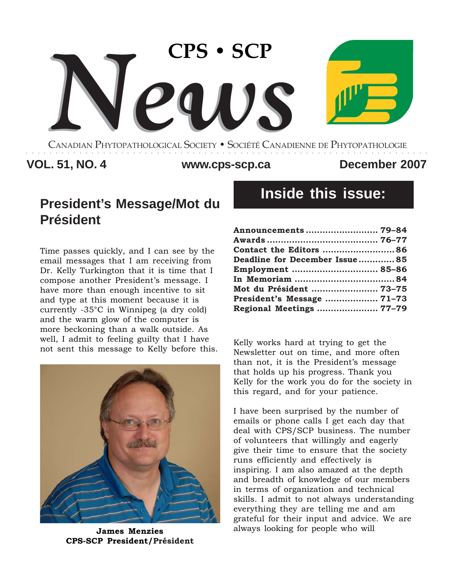

CANADIAN PHYTOPATHOLOGICAL SOCIETY **•** SOCIÉTÉ CANADIENNE DE PHYTOPATHOLOGIE ○○○○○○○○○○○○○○○○○○○○○○○○○○○○○○○○○○○○○○○○○○○○○○○○○○○○○○○○○○○○○○○○○○○○

# **VOL. 51, NO. 4 December 2007 www.cps-scp.ca**

# **President's Message/Mot du Président**

Time passes quickly, and I can see by the email messages that I am receiving from Dr. Kelly Turkington that it is time that I compose another President's message. I have more than enough incentive to sit and type at this moment because it is currently -35°C in Winnipeg (a dry cold) and the warm glow of the computer is more beckoning than a walk outside. As well, I admit to feeling guilty that I have well, I admit to leeling guitty that I have the Kelly works hard at trying to get the not sent this message to Kelly before this. Nounlatten ant an time and mane of



**James Menzies CPS-SCP President/Président**

# **Inside this issue:**

| Announcements  79-84           |  |
|--------------------------------|--|
|                                |  |
| <b>Contact the Editors  86</b> |  |
| Deadline for December Issue85  |  |
| Employment  85-86              |  |
|                                |  |
| Mot du Président  73-75        |  |
|                                |  |
| Regional Meetings  77-79       |  |

Newsletter out on time, and more often than not, it is the President's message that holds up his progress. Thank you Kelly for the work you do for the society in this regard, and for your patience.

I have been surprised by the number of emails or phone calls I get each day that deal with CPS/SCP business. The number of volunteers that willingly and eagerly give their time to ensure that the society runs efficiently and effectively is inspiring. I am also amazed at the depth and breadth of knowledge of our members in terms of organization and technical skills. I admit to not always understanding everything they are telling me and am grateful for their input and advice. We are always looking for people who will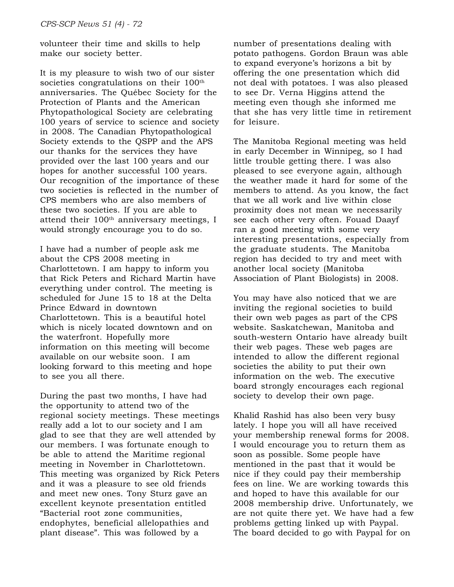volunteer their time and skills to help make our society better.

It is my pleasure to wish two of our sister societies congratulations on their 100<sup>th</sup> anniversaries. The Québec Society for the Protection of Plants and the American Phytopathological Society are celebrating 100 years of service to science and society in 2008. The Canadian Phytopathological Society extends to the QSPP and the APS our thanks for the services they have provided over the last 100 years and our hopes for another successful 100 years. Our recognition of the importance of these two societies is reflected in the number of CPS members who are also members of these two societies. If you are able to attend their 100<sup>th</sup> anniversary meetings, I would strongly encourage you to do so.

I have had a number of people ask me about the CPS 2008 meeting in Charlottetown. I am happy to inform you that Rick Peters and Richard Martin have everything under control. The meeting is scheduled for June 15 to 18 at the Delta Prince Edward in downtown Charlottetown. This is a beautiful hotel which is nicely located downtown and on the waterfront. Hopefully more information on this meeting will become available on our website soon. I am looking forward to this meeting and hope to see you all there.

During the past two months, I have had the opportunity to attend two of the regional society meetings. These meetings really add a lot to our society and I am glad to see that they are well attended by our members. I was fortunate enough to be able to attend the Maritime regional meeting in November in Charlottetown. This meeting was organized by Rick Peters and it was a pleasure to see old friends and meet new ones. Tony Sturz gave an excellent keynote presentation entitled "Bacterial root zone communities, endophytes, beneficial allelopathies and plant disease". This was followed by a

number of presentations dealing with potato pathogens. Gordon Braun was able to expand everyone's horizons a bit by offering the one presentation which did not deal with potatoes. I was also pleased to see Dr. Verna Higgins attend the meeting even though she informed me that she has very little time in retirement for leisure.

The Manitoba Regional meeting was held in early December in Winnipeg, so I had little trouble getting there. I was also pleased to see everyone again, although the weather made it hard for some of the members to attend. As you know, the fact that we all work and live within close proximity does not mean we necessarily see each other very often. Fouad Daayf ran a good meeting with some very interesting presentations, especially from the graduate students. The Manitoba region has decided to try and meet with another local society (Manitoba Association of Plant Biologists) in 2008.

You may have also noticed that we are inviting the regional societies to build their own web pages as part of the CPS website. Saskatchewan, Manitoba and south-western Ontario have already built their web pages. These web pages are intended to allow the different regional societies the ability to put their own information on the web. The executive board strongly encourages each regional society to develop their own page.

Khalid Rashid has also been very busy lately. I hope you will all have received your membership renewal forms for 2008. I would encourage you to return them as soon as possible. Some people have mentioned in the past that it would be nice if they could pay their membership fees on line. We are working towards this and hoped to have this available for our 2008 membership drive. Unfortunately, we are not quite there yet. We have had a few problems getting linked up with Paypal. The board decided to go with Paypal for on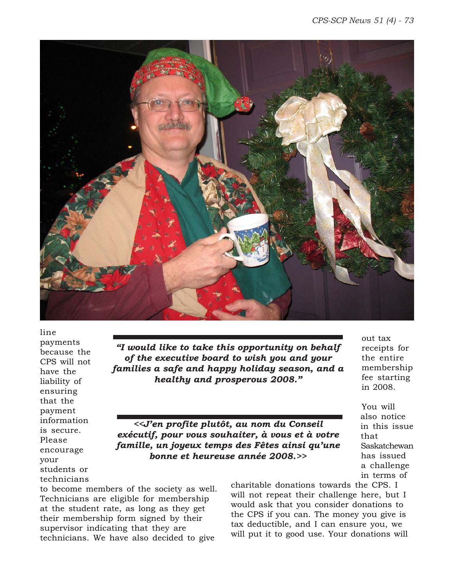

line payments because the CPS will not have the liability of ensuring that the payment information is secure. Please encourage your students or technicians

*"I would like to take this opportunity on behalf of the executive board to wish you and your families a safe and happy holiday season, and a healthy and prosperous 2008."*

*<<J'en profite plutôt, au nom du Conseil exécutif, pour vous souhaiter, à vous et à votre famille, un joyeux temps des Fêtes ainsi qu'une bonne et heureuse année 2008.>>*

to become members of the society as well. Technicians are eligible for membership at the student rate, as long as they get their membership form signed by their supervisor indicating that they are technicians. We have also decided to give

charitable donations towards the CPS. I will not repeat their challenge here, but I would ask that you consider donations to the CPS if you can. The money you give is tax deductible, and I can ensure you, we will put it to good use. Your donations will

out tax receipts for the entire membership fee starting in 2008.

You will also notice in this issue that Saskatchewan has issued a challenge in terms of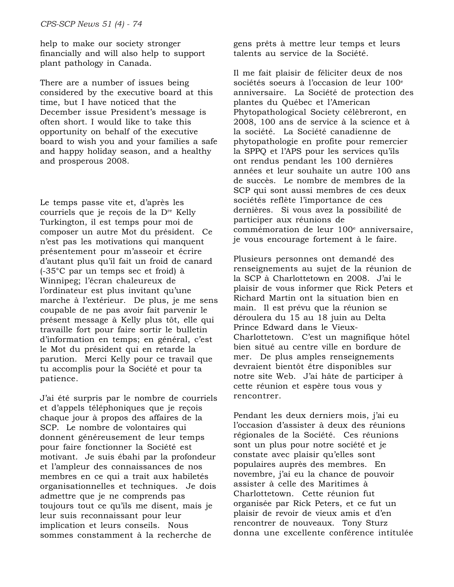help to make our society stronger financially and will also help to support plant pathology in Canada.

There are a number of issues being considered by the executive board at this time, but I have noticed that the December issue President's message is often short. I would like to take this opportunity on behalf of the executive board to wish you and your families a safe and happy holiday season, and a healthy and prosperous 2008.

Le temps passe vite et, d'après les courriels que je reçois de la Dre Kelly Turkington, il est temps pour moi de composer un autre Mot du président. Ce n'est pas les motivations qui manquent présentement pour m'asseoir et écrire d'autant plus qu'il fait un froid de canard (-35°C par un temps sec et froid) à Winnipeg; l'écran chaleureux de l'ordinateur est plus invitant qu'une marche à l'extérieur. De plus, je me sens coupable de ne pas avoir fait parvenir le présent message à Kelly plus tôt, elle qui travaille fort pour faire sortir le bulletin d'information en temps; en général, c'est le Mot du président qui en retarde la parution. Merci Kelly pour ce travail que tu accomplis pour la Société et pour ta patience.

J'ai été surpris par le nombre de courriels et d'appels téléphoniques que je reçois chaque jour à propos des affaires de la SCP. Le nombre de volontaires qui donnent généreusement de leur temps pour faire fonctionner la Société est motivant. Je suis ébahi par la profondeur et l'ampleur des connaissances de nos membres en ce qui a trait aux habiletés organisationnelles et techniques. Je dois admettre que je ne comprends pas toujours tout ce qu'ils me disent, mais je leur suis reconnaissant pour leur implication et leurs conseils. Nous sommes constamment à la recherche de

gens prêts à mettre leur temps et leurs talents au service de la Société.

Il me fait plaisir de féliciter deux de nos sociétés soeurs à l'occasion de leur 100<sup>e</sup> anniversaire. La Société de protection des plantes du Québec et l'American Phytopathological Society célèbreront, en 2008, 100 ans de service à la science et à la société. La Société canadienne de phytopathologie en profite pour remercier la SPPQ et l'APS pour les services qu'ils ont rendus pendant les 100 dernières années et leur souhaite un autre 100 ans de succès. Le nombre de membres de la SCP qui sont aussi membres de ces deux sociétés reflète l'importance de ces dernières. Si vous avez la possibilité de participer aux réunions de commémoration de leur 100<sup>e</sup> anniversaire, je vous encourage fortement à le faire.

Plusieurs personnes ont demandé des renseignements au sujet de la réunion de la SCP à Charlottetown en 2008. J'ai le plaisir de vous informer que Rick Peters et Richard Martin ont la situation bien en main. Il est prévu que la réunion se déroulera du 15 au 18 juin au Delta Prince Edward dans le Vieux-Charlottetown. C'est un magnifique hôtel bien situé au centre ville en bordure de mer. De plus amples renseignements devraient bientôt être disponibles sur notre site Web. J'ai hâte de participer à cette réunion et espère tous vous y rencontrer.

Pendant les deux derniers mois, j'ai eu l'occasion d'assister à deux des réunions régionales de la Société. Ces réunions sont un plus pour notre société et je constate avec plaisir qu'elles sont populaires auprès des membres. En novembre, j'ai eu la chance de pouvoir assister à celle des Maritimes à Charlottetown. Cette réunion fut organisée par Rick Peters, et ce fut un plaisir de revoir de vieux amis et d'en rencontrer de nouveaux. Tony Sturz donna une excellente conférence intitulée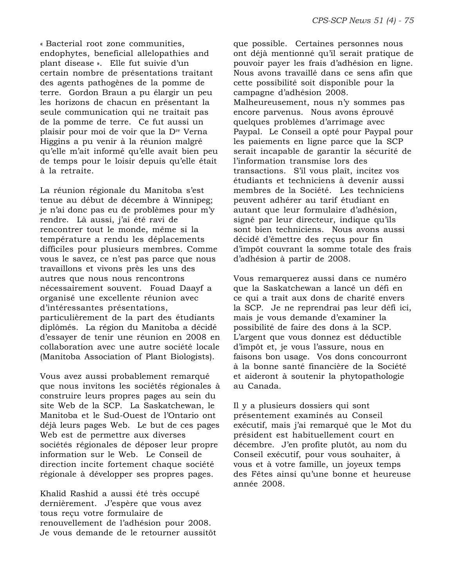« Bacterial root zone communities, endophytes, beneficial allelopathies and plant disease ». Elle fut suivie d'un certain nombre de présentations traitant des agents pathogènes de la pomme de terre. Gordon Braun a pu élargir un peu les horizons de chacun en présentant la seule communication qui ne traitait pas de la pomme de terre. Ce fut aussi un plaisir pour moi de voir que la Dre Verna Higgins a pu venir à la réunion malgré qu'elle m'ait informé qu'elle avait bien peu de temps pour le loisir depuis qu'elle était à la retraite.

La réunion régionale du Manitoba s'est tenue au début de décembre à Winnipeg; je n'ai donc pas eu de problèmes pour m'y rendre. Là aussi, j'ai été ravi de rencontrer tout le monde, même si la température a rendu les déplacements difficiles pour plusieurs membres. Comme vous le savez, ce n'est pas parce que nous travaillons et vivons près les uns des autres que nous nous rencontrons nécessairement souvent. Fouad Daayf a organisé une excellente réunion avec d'intéressantes présentations, particulièrement de la part des étudiants diplômés. La région du Manitoba a décidé d'essayer de tenir une réunion en 2008 en collaboration avec une autre société locale (Manitoba Association of Plant Biologists).

Vous avez aussi probablement remarqué que nous invitons les sociétés régionales à construire leurs propres pages au sein du site Web de la SCP. La Saskatchewan, le Manitoba et le Sud-Ouest de l'Ontario ont déjà leurs pages Web. Le but de ces pages Web est de permettre aux diverses sociétés régionales de déposer leur propre information sur le Web. Le Conseil de direction incite fortement chaque société régionale à développer ses propres pages.

Khalid Rashid a aussi été très occupé dernièrement. J'espère que vous avez tous reçu votre formulaire de renouvellement de l'adhésion pour 2008. Je vous demande de le retourner aussitôt que possible. Certaines personnes nous ont déjà mentionné qu'il serait pratique de pouvoir payer les frais d'adhésion en ligne. Nous avons travaillé dans ce sens afin que cette possibilité soit disponible pour la campagne d'adhésion 2008. Malheureusement, nous n'y sommes pas encore parvenus. Nous avons éprouvé quelques problèmes d'arrimage avec Paypal. Le Conseil a opté pour Paypal pour les paiements en ligne parce que la SCP serait incapable de garantir la sécurité de l'information transmise lors des transactions. S'il vous plaît, incitez vos étudiants et techniciens à devenir aussi membres de la Société. Les techniciens peuvent adhérer au tarif étudiant en autant que leur formulaire d'adhésion, signé par leur directeur, indique qu'ils sont bien techniciens. Nous avons aussi décidé d'émettre des reçus pour fin d'impôt couvrant la somme totale des frais d'adhésion à partir de 2008.

Vous remarquerez aussi dans ce numéro que la Saskatchewan a lancé un défi en ce qui a trait aux dons de charité envers la SCP. Je ne reprendrai pas leur défi ici, mais je vous demande d'examiner la possibilité de faire des dons à la SCP. L'argent que vous donnez est déductible d'impôt et, je vous l'assure, nous en faisons bon usage. Vos dons concourront à la bonne santé financière de la Société et aideront à soutenir la phytopathologie au Canada.

Il y a plusieurs dossiers qui sont présentement examinés au Conseil exécutif, mais j'ai remarqué que le Mot du président est habituellement court en décembre. J'en profite plutôt, au nom du Conseil exécutif, pour vous souhaiter, à vous et à votre famille, un joyeux temps des Fêtes ainsi qu'une bonne et heureuse année 2008.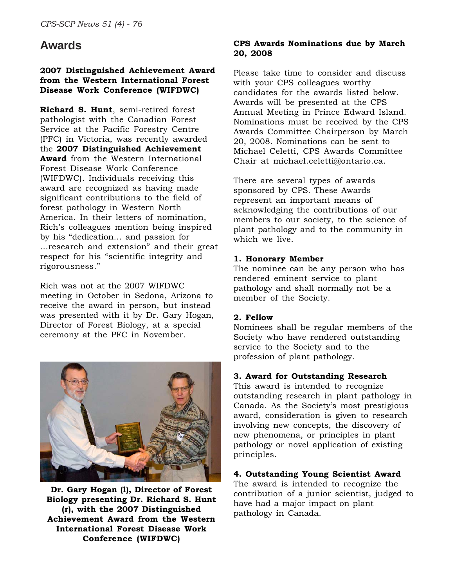# **Awards**

### **2007 Distinguished Achievement Award from the Western International Forest Disease Work Conference (WIFDWC)**

**Richard S. Hunt**, semi-retired forest pathologist with the Canadian Forest Service at the Pacific Forestry Centre (PFC) in Victoria, was recently awarded the **2007 Distinguished Achievement Award** from the Western International Forest Disease Work Conference (WIFDWC). Individuals receiving this award are recognized as having made significant contributions to the field of forest pathology in Western North America. In their letters of nomination, Rich's colleagues mention being inspired by his "dedication… and passion for …research and extension" and their great respect for his "scientific integrity and rigorousness."

Rich was not at the 2007 WIFDWC meeting in October in Sedona, Arizona to receive the award in person, but instead was presented with it by Dr. Gary Hogan, Director of Forest Biology, at a special ceremony at the PFC in November.



**Dr. Gary Hogan (l), Director of Forest Biology presenting Dr. Richard S. Hunt (r), with the 2007 Distinguished Achievement Award from the Western International Forest Disease Work Conference (WIFDWC)**

### **CPS Awards Nominations due by March 20, 2008**

Please take time to consider and discuss with your CPS colleagues worthy candidates for the awards listed below. Awards will be presented at the CPS Annual Meeting in Prince Edward Island. Nominations must be received by the CPS Awards Committee Chairperson by March 20, 2008. Nominations can be sent to Michael Celetti, CPS Awards Committee Chair at michael.celetti@ontario.ca.

There are several types of awards sponsored by CPS. These Awards represent an important means of acknowledging the contributions of our members to our society, to the science of plant pathology and to the community in which we live.

# **1. Honorary Member**

The nominee can be any person who has rendered eminent service to plant pathology and shall normally not be a member of the Society.

### **2. Fellow**

Nominees shall be regular members of the Society who have rendered outstanding service to the Society and to the profession of plant pathology.

### **3. Award for Outstanding Research**

This award is intended to recognize outstanding research in plant pathology in Canada. As the Society's most prestigious award, consideration is given to research involving new concepts, the discovery of new phenomena, or principles in plant pathology or novel application of existing principles.

# **4. Outstanding Young Scientist Award**

The award is intended to recognize the contribution of a junior scientist, judged to have had a major impact on plant pathology in Canada.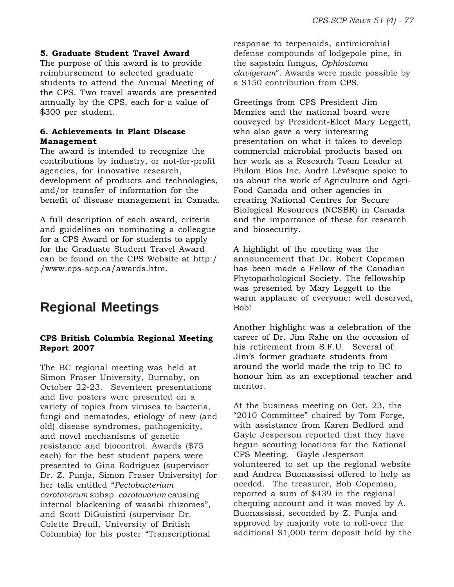### **5. Graduate Student Travel Award**

The purpose of this award is to provide reimbursement to selected graduate students to attend the Annual Meeting of the CPS. Two travel awards are presented annually by the CPS, each for a value of \$300 per student.

#### **6. Achievements in Plant Disease Management**

The award is intended to recognize the contributions by industry, or not-for-profit agencies, for innovative research, development of products and technologies, and/or transfer of information for the benefit of disease management in Canada.

A full description of each award, criteria and guidelines on nominating a colleague for a CPS Award or for students to apply for the Graduate Student Travel Award can be found on the CPS Website at http:/ /www.cps-scp.ca/awards.htm.

# **Regional Meetings**

### **CPS British Columbia Regional Meeting Report 2007**

The BC regional meeting was held at Simon Fraser University, Burnaby, on October 22-23. Seventeen presentations and five posters were presented on a variety of topics from viruses to bacteria, fungi and nematodes, etiology of new (and old) disease syndromes, pathogenicity, and novel mechanisms of genetic resistance and biocontrol. Awards (\$75 each) for the best student papers were presented to Gina Rodriguez (supervisor Dr. Z. Punja, Simon Fraser University) for her talk entitled "*Pectobacterium carotovorum* subsp. *carotovorum* causing internal blackening of wasabi rhizomes", and Scott DiGuistini (supervisor Dr. Colette Breuil, University of British Columbia) for his poster "Transcriptional

response to terpenoids, antimicrobial defense compounds of lodgepole pine, in the sapstain fungus, *Ophiostoma clavigerum*". Awards were made possible by a \$150 contribution from CPS.

Greetings from CPS President Jim Menzies and the national board were conveyed by President-Elect Mary Leggett, who also gave a very interesting presentation on what it takes to develop commercial microbial products based on her work as a Research Team Leader at Philom Bios Inc. André Lévèsque spoke to us about the work of Agriculture and Agri-Food Canada and other agencies in creating National Centres for Secure Biological Resources (NCSBR) in Canada and the importance of these for research and biosecurity.

A highlight of the meeting was the announcement that Dr. Robert Copeman has been made a Fellow of the Canadian Phytopathological Society. The fellowship was presented by Mary Leggett to the warm applause of everyone: well deserved, Bob!

Another highlight was a celebration of the career of Dr. Jim Rahe on the occasion of his retirement from S.F.U. Several of Jim's former graduate students from around the world made the trip to BC to honour him as an exceptional teacher and mentor.

At the business meeting on Oct. 23, the "2010 Committee" chaired by Tom Forge, with assistance from Karen Bedford and Gayle Jesperson reported that they have begun scouting locations for the National CPS Meeting. Gayle Jesperson volunteered to set up the regional website and Andrea Buonassissi offered to help as needed. The treasurer, Bob Copeman, reported a sum of \$439 in the regional chequing account and it was moved by A. Buonassissi, seconded by Z. Punja and approved by majority vote to roll-over the additional \$1,000 term deposit held by the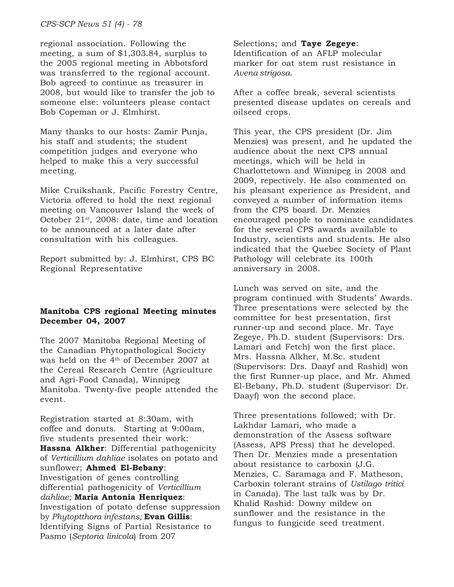*CPS-SCP News 51 (4) - 78*

regional association. Following the meeting, a sum of \$1,303.84, surplus to the 2005 regional meeting in Abbotsford was transferred to the regional account. Bob agreed to continue as treasurer in 2008, but would like to transfer the job to someone else: volunteers please contact Bob Copeman or J. Elmhirst.

Many thanks to our hosts: Zamir Punja, his staff and students; the student competition judges and everyone who helped to make this a very successful meeting.

Mike Cruikshank, Pacific Forestry Centre, Victoria offered to hold the next regional meeting on Vancouver Island the week of October 21<sup>st</sup>, 2008: date, time and location to be announced at a later date after consultation with his colleagues.

Report submitted by: J. Elmhirst, CPS BC Regional Representative

### **Manitoba CPS regional Meeting minutes December 04, 2007**

The 2007 Manitoba Regional Meeting of the Canadian Phytopathological Society was held on the  $4<sup>th</sup>$  of December 2007 at the Cereal Research Centre (Agriculture and Agri-Food Canada), Winnipeg Manitoba. Twenty-five people attended the event.

Registration started at 8:30am, with coffee and donuts. Starting at 9:00am, five students presented their work: **Hassna Alkher**: Differential pathogenicity of *Verticillium dahliae* isolates on potato and sunflower; **Ahmed El-Bebany**: Investigation of genes controlling differential pathogenicity of *Verticillium dahliae;* **Maria Antonia Henriquez**: Investigation of potato defense suppression by *Phytoptthora infestans;* **Evan Gillis**: Identifying Signs of Partial Resistance to Pasmo (*Septoria linicola*) from 207

Selections; and **Taye Zegeye**: Identification of an AFLP molecular marker for oat stem rust resistance in *Avena strigosa.*

After a coffee break, several scientists presented disease updates on cereals and oilseed crops.

This year, the CPS president (Dr. Jim Menzies) was present, and he updated the audience about the next CPS annual meetings, which will be held in Charlottetown and Winnipeg in 2008 and 2009, repectively. He also commented on his pleasant experience as President, and conveyed a number of information items from the CPS board. Dr. Menzies encouraged people to nominate candidates for the several CPS awards available to Industry, scientists and students. He also indicated that the Quebec Society of Plant Pathology will celebrate its 100th anniversary in 2008.

Lunch was served on site, and the program continued with Students' Awards. Three presentations were selected by the committee for best presentation, first runner-up and second place. Mr. Taye Zegeye, Ph.D. student (Supervisors: Drs. Lamari and Fetch) won the first place. Mrs. Hassna Alkher, M.Sc. student (Supervisors: Drs. Daayf and Rashid) won the first Runner-up place, and Mr. Ahmed El-Bebany, Ph.D. student (Supervisor: Dr. Daayf) won the second place.

Three presentations followed; with Dr. Lakhdar Lamari, who made a demonstration of the Assess software (Assess, APS Press) that he developed. Then Dr. Menzies made a presentation about resistance to carboxin (J.G. Menzies, C. Saramaga and F. Matheson, Carboxin tolerant strains of *Ustilago tritici* in Canada). The last talk was by Dr. Khalid Rashid: Downy mildew on sunflower and the resistance in the fungus to fungicide seed treatment.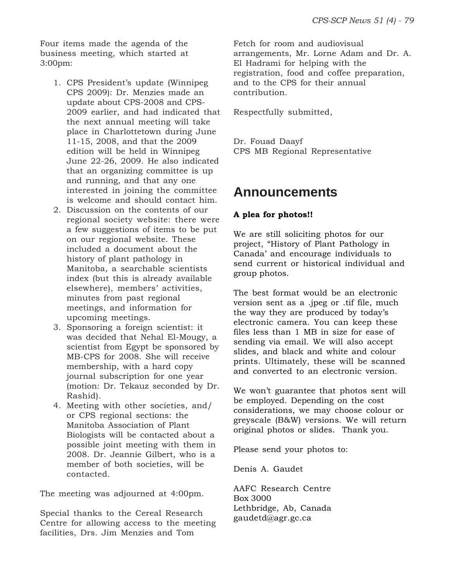Four items made the agenda of the business meeting, which started at 3:00pm:

- 1. CPS President's update (Winnipeg CPS 2009): Dr. Menzies made an update about CPS-2008 and CPS-2009 earlier, and had indicated that the next annual meeting will take place in Charlottetown during June 11-15, 2008, and that the 2009 edition will be held in Winnipeg June 22-26, 2009. He also indicated that an organizing committee is up and running, and that any one interested in joining the committee is welcome and should contact him.
- 2. Discussion on the contents of our regional society website: there were a few suggestions of items to be put on our regional website. These included a document about the history of plant pathology in Manitoba, a searchable scientists index (but this is already available elsewhere), members' activities, minutes from past regional meetings, and information for upcoming meetings.
- 3. Sponsoring a foreign scientist: it was decided that Nehal El-Mougy, a scientist from Egypt be sponsored by MB-CPS for 2008. She will receive membership, with a hard copy journal subscription for one year (motion: Dr. Tekauz seconded by Dr. Rashid).
- 4. Meeting with other societies, and/ or CPS regional sections: the Manitoba Association of Plant Biologists will be contacted about a possible joint meeting with them in 2008. Dr. Jeannie Gilbert, who is a member of both societies, will be contacted.

The meeting was adjourned at 4:00pm.

Special thanks to the Cereal Research Centre for allowing access to the meeting facilities, Drs. Jim Menzies and Tom

Fetch for room and audiovisual arrangements, Mr. Lorne Adam and Dr. A. El Hadrami for helping with the registration, food and coffee preparation, and to the CPS for their annual contribution.

Respectfully submitted,

Dr. Fouad Daayf CPS MB Regional Representative

# **Announcements**

# **A plea for photos!!**

We are still soliciting photos for our project, "History of Plant Pathology in Canada' and encourage individuals to send current or historical individual and group photos.

The best format would be an electronic version sent as a .jpeg or .tif file, much the way they are produced by today's electronic camera. You can keep these files less than 1 MB in size for ease of sending via email. We will also accept slides, and black and white and colour prints. Ultimately, these will be scanned and converted to an electronic version.

We won't guarantee that photos sent will be employed. Depending on the cost considerations, we may choose colour or greyscale (B&W) versions. We will return original photos or slides. Thank you.

Please send your photos to:

Denis A. Gaudet

AAFC Research Centre Box 3000 Lethbridge, Ab, Canada gaudetd@agr.gc.ca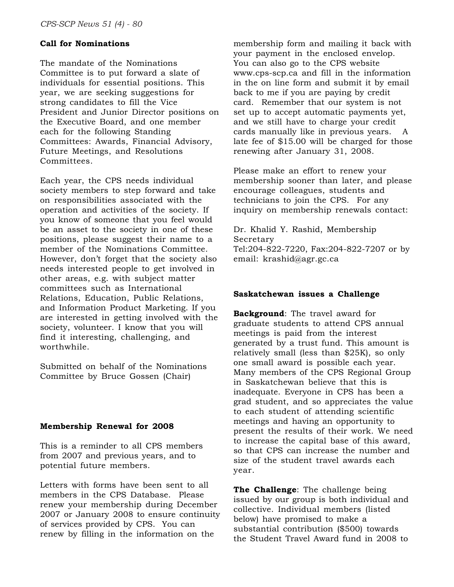### **Call for Nominations**

The mandate of the Nominations Committee is to put forward a slate of individuals for essential positions. This year, we are seeking suggestions for strong candidates to fill the Vice President and Junior Director positions on the Executive Board, and one member each for the following Standing Committees: Awards, Financial Advisory, Future Meetings, and Resolutions Committees.

Each year, the CPS needs individual society members to step forward and take on responsibilities associated with the operation and activities of the society. If you know of someone that you feel would be an asset to the society in one of these positions, please suggest their name to a member of the Nominations Committee. However, don't forget that the society also needs interested people to get involved in other areas, e.g. with subject matter committees such as International Relations, Education, Public Relations, and Information Product Marketing. If you are interested in getting involved with the society, volunteer. I know that you will find it interesting, challenging, and worthwhile.

Submitted on behalf of the Nominations Committee by Bruce Gossen (Chair)

#### **Membership Renewal for 2008**

This is a reminder to all CPS members from 2007 and previous years, and to potential future members.

Letters with forms have been sent to all members in the CPS Database. Please renew your membership during December 2007 or January 2008 to ensure continuity of services provided by CPS. You can renew by filling in the information on the

membership form and mailing it back with your payment in the enclosed envelop. You can also go to the CPS website www.cps-scp.ca and fill in the information in the on line form and submit it by email back to me if you are paying by credit card. Remember that our system is not set up to accept automatic payments yet, and we still have to charge your credit cards manually like in previous years. A late fee of \$15.00 will be charged for those renewing after January 31, 2008.

Please make an effort to renew your membership sooner than later, and please encourage colleagues, students and technicians to join the CPS. For any inquiry on membership renewals contact:

Dr. Khalid Y. Rashid, Membership Secretary Tel:204-822-7220, Fax:204-822-7207 or by email: krashid@agr.gc.ca

#### **Saskatchewan issues a Challenge**

**Background**: The travel award for graduate students to attend CPS annual meetings is paid from the interest generated by a trust fund. This amount is relatively small (less than \$25K), so only one small award is possible each year. Many members of the CPS Regional Group in Saskatchewan believe that this is inadequate. Everyone in CPS has been a grad student, and so appreciates the value to each student of attending scientific meetings and having an opportunity to present the results of their work. We need to increase the capital base of this award, so that CPS can increase the number and size of the student travel awards each year.

**The Challenge**: The challenge being issued by our group is both individual and collective. Individual members (listed below) have promised to make a substantial contribution (\$500) towards the Student Travel Award fund in 2008 to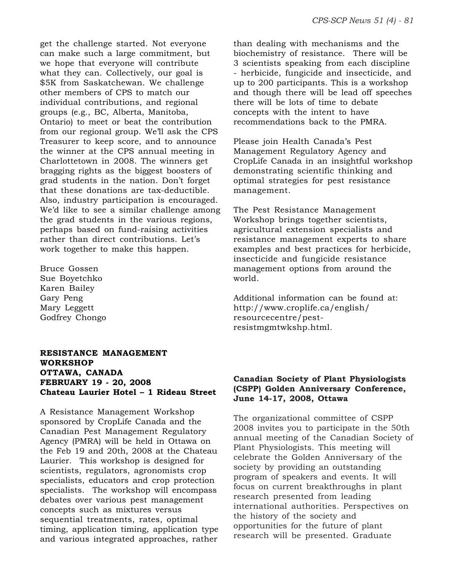get the challenge started. Not everyone can make such a large commitment, but we hope that everyone will contribute what they can. Collectively, our goal is \$5K from Saskatchewan. We challenge other members of CPS to match our individual contributions, and regional groups (e.g., BC, Alberta, Manitoba, Ontario) to meet or beat the contribution from our regional group. We'll ask the CPS Treasurer to keep score, and to announce the winner at the CPS annual meeting in Charlottetown in 2008. The winners get bragging rights as the biggest boosters of grad students in the nation. Don't forget that these donations are tax-deductible. Also, industry participation is encouraged. We'd like to see a similar challenge among the grad students in the various regions, perhaps based on fund-raising activities rather than direct contributions. Let's work together to make this happen.

Bruce Gossen Sue Boyetchko Karen Bailey Gary Peng Mary Leggett Godfrey Chongo

### **RESISTANCE MANAGEMENT WORKSHOP OTTAWA, CANADA FEBRUARY 19 - 20, 2008 Chateau Laurier Hotel – 1 Rideau Street**

A Resistance Management Workshop sponsored by CropLife Canada and the Canadian Pest Management Regulatory Agency (PMRA) will be held in Ottawa on the Feb 19 and 20th, 2008 at the Chateau Laurier. This workshop is designed for scientists, regulators, agronomists crop specialists, educators and crop protection specialists. The workshop will encompass debates over various pest management concepts such as mixtures versus sequential treatments, rates, optimal timing, application timing, application type and various integrated approaches, rather

than dealing with mechanisms and the biochemistry of resistance. There will be 3 scientists speaking from each discipline - herbicide, fungicide and insecticide, and up to 200 participants. This is a workshop and though there will be lead off speeches there will be lots of time to debate concepts with the intent to have recommendations back to the PMRA.

Please join Health Canada's Pest Management Regulatory Agency and CropLife Canada in an insightful workshop demonstrating scientific thinking and optimal strategies for pest resistance management.

The Pest Resistance Management Workshop brings together scientists, agricultural extension specialists and resistance management experts to share examples and best practices for herbicide, insecticide and fungicide resistance management options from around the world.

Additional information can be found at: http://www.croplife.ca/english/ resourcecentre/pestresistmgmtwkshp.html.

#### **Canadian Society of Plant Physiologists (CSPP) Golden Anniversary Conference, June 14-17, 2008, Ottawa**

The organizational committee of CSPP 2008 invites you to participate in the 50th annual meeting of the Canadian Society of Plant Physiologists. This meeting will celebrate the Golden Anniversary of the society by providing an outstanding program of speakers and events. It will focus on current breakthroughs in plant research presented from leading international authorities. Perspectives on the history of the society and opportunities for the future of plant research will be presented. Graduate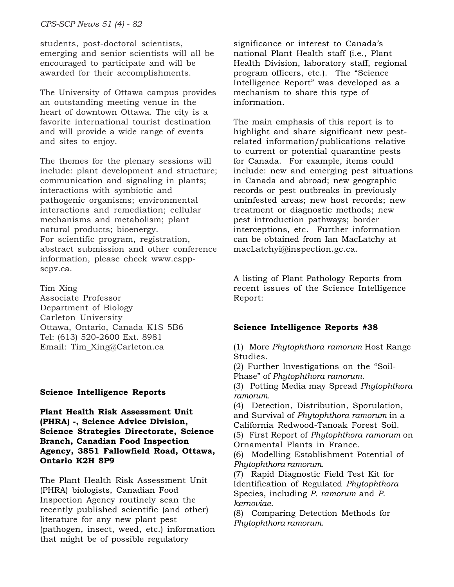students, post-doctoral scientists, emerging and senior scientists will all be encouraged to participate and will be awarded for their accomplishments.

The University of Ottawa campus provides an outstanding meeting venue in the heart of downtown Ottawa. The city is a favorite international tourist destination and will provide a wide range of events and sites to enjoy.

The themes for the plenary sessions will include: plant development and structure; communication and signaling in plants; interactions with symbiotic and pathogenic organisms; environmental interactions and remediation; cellular mechanisms and metabolism; plant natural products; bioenergy. For scientific program, registration, abstract submission and other conference information, please check www.csppscpv.ca.

Tim Xing Associate Professor Department of Biology Carleton University Ottawa, Ontario, Canada K1S 5B6 Tel: (613) 520-2600 Ext. 8981 Email: Tim\_Xing@Carleton.ca

### **Science Intelligence Reports**

**Plant Health Risk Assessment Unit (PHRA) -, Science Advice Division, Science Strategies Directorate, Science Branch, Canadian Food Inspection Agency, 3851 Fallowfield Road, Ottawa, Ontario K2H 8P9**

The Plant Health Risk Assessment Unit (PHRA) biologists, Canadian Food Inspection Agency routinely scan the recently published scientific (and other) literature for any new plant pest (pathogen, insect, weed, etc.) information that might be of possible regulatory

significance or interest to Canada's national Plant Health staff (i.e., Plant Health Division, laboratory staff, regional program officers, etc.). The "Science Intelligence Report" was developed as a mechanism to share this type of information.

The main emphasis of this report is to highlight and share significant new pestrelated information/publications relative to current or potential quarantine pests for Canada. For example, items could include: new and emerging pest situations in Canada and abroad; new geographic records or pest outbreaks in previously uninfested areas; new host records; new treatment or diagnostic methods; new pest introduction pathways; border interceptions, etc. Further information can be obtained from Ian MacLatchy at macLatchyi@inspection.gc.ca.

A listing of Plant Pathology Reports from recent issues of the Science Intelligence Report:

# **Science Intelligence Reports #38**

(1) More *Phytophthora ramorum* Host Range Studies.

(2) Further Investigations on the "Soil-Phase" of *Phytophthora ramorum*.

(3) Potting Media may Spread *Phytophthora ramorum*.

(4) Detection, Distribution, Sporulation, and Survival of *Phytophthora ramorum* in a California Redwood-Tanoak Forest Soil.

(5) First Report of *Phytophthora ramorum* on Ornamental Plants in France.

(6) Modelling Establishment Potential of *Phytophthora ramorum*.

(7) Rapid Diagnostic Field Test Kit for Identification of Regulated *Phytophthora* Species, including *P. ramorum* and *P. kernoviae*.

(8) Comparing Detection Methods for *Phytophthora ramorum*.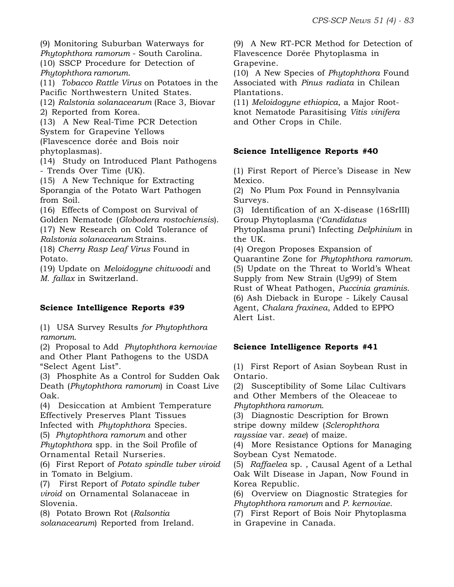(9) Monitoring Suburban Waterways for *Phytophthora ramorum* - South Carolina. (10) SSCP Procedure for Detection of *Phytophthora ramorum*.

(11) *Tobacco Rattle Virus* on Potatoes in the Pacific Northwestern United States.

(12) *Ralstonia solanacearum* (Race 3, Biovar 2) Reported from Korea.

(13) A New Real-Time PCR Detection System for Grapevine Yellows (Flavescence dorée and Bois noir

phytoplasmas).

(14) Study on Introduced Plant Pathogens - Trends Over Time (UK).

(15) A New Technique for Extracting Sporangia of the Potato Wart Pathogen from Soil.

(16) Effects of Compost on Survival of

Golden Nematode (*Globodera rostochiensis*). (17) New Research on Cold Tolerance of

*Ralstonia solanacearum* Strains.

(18) *Cherry Rasp Leaf Virus* Found in Potato.

(19) Update on *Meloidogyne chitwoodi* and *M. fallax* in Switzerland.

# **Science Intelligence Reports #39**

(1) USA Survey Results *for Phytophthora ramorum*.

(2) Proposal to Add *Phytophthora kernoviae* and Other Plant Pathogens to the USDA "Select Agent List".

(3) Phosphite As a Control for Sudden Oak Death (*Phytophthora ramorum*) in Coast Live Oak.

(4) Desiccation at Ambient Temperature Effectively Preserves Plant Tissues Infected with *Phytophthora* Species.

(5) *Phytophthora ramorum* and other *Phytophthora* spp. in the Soil Profile of Ornamental Retail Nurseries.

(6) First Report of *Potato spindle tuber viroid* in Tomato in Belgium.

(7) First Report of *Potato spindle tuber viroid* on Ornamental Solanaceae in Slovenia.

(8) Potato Brown Rot (*Ralsontia solanacearum*) Reported from Ireland.

(9) A New RT-PCR Method for Detection of Flavescence Dorée Phytoplasma in Grapevine.

(10) A New Species of *Phytophthora* Found Associated with *Pinus radiata* in Chilean Plantations.

(11) *Meloidogyne ethiopica*, a Major Rootknot Nematode Parasitising *Vitis vinifera* and Other Crops in Chile.

# **Science Intelligence Reports #40**

(1) First Report of Pierce's Disease in New Mexico.

(2) No Plum Pox Found in Pennsylvania Surveys.

(3) Identification of an X-disease (16SrIII) Group Phytoplasma ('*Candidatus*

Phytoplasma pruni') Infecting *Delphinium* in the UK.

(4) Oregon Proposes Expansion of Quarantine Zone for *Phytophthora ramorum*. (5) Update on the Threat to World's Wheat Supply from New Strain (Ug99) of Stem Rust of Wheat Pathogen, *Puccinia graminis*. (6) Ash Dieback in Europe - Likely Causal Agent, *Chalara fraxinea*, Added to EPPO Alert List.

# **Science Intelligence Reports #41**

(1) First Report of Asian Soybean Rust in Ontario.

(2) Susceptibility of Some Lilac Cultivars and Other Members of the Oleaceae to *Phytophthora ramorum*.

(3) Diagnostic Description for Brown

stripe downy mildew (*Sclerophthora*

*rayssiae* var. *zeae*) of maize.

(4) More Resistance Options for Managing Soybean Cyst Nematode.

(5) *Raffaelea* sp. , Causal Agent of a Lethal Oak Wilt Disease in Japan, Now Found in Korea Republic.

(6) Overview on Diagnostic Strategies for *Phytophthora ramorum* and *P. kernoviae*.

(7) First Report of Bois Noir Phytoplasma

in Grapevine in Canada.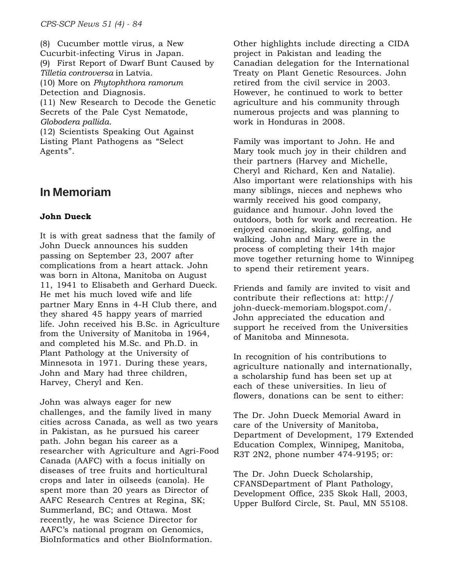(8) Cucumber mottle virus, a New Cucurbit-infecting Virus in Japan. (9) First Report of Dwarf Bunt Caused by *Tilletia controversa* in Latvia. (10) More on *Phytophthora ramorum* Detection and Diagnosis. (11) New Research to Decode the Genetic Secrets of the Pale Cyst Nematode, *Globodera pallida*. (12) Scientists Speaking Out Against Listing Plant Pathogens as "Select Agents".

# **In Memoriam**

# **John Dueck**

It is with great sadness that the family of John Dueck announces his sudden passing on September 23, 2007 after complications from a heart attack. John was born in Altona, Manitoba on August 11, 1941 to Elisabeth and Gerhard Dueck. He met his much loved wife and life partner Mary Enns in 4-H Club there, and they shared 45 happy years of married life. John received his B.Sc. in Agriculture from the University of Manitoba in 1964, and completed his M.Sc. and Ph.D. in Plant Pathology at the University of Minnesota in 1971. During these years, John and Mary had three children, Harvey, Cheryl and Ken.

John was always eager for new challenges, and the family lived in many cities across Canada, as well as two years in Pakistan, as he pursued his career path. John began his career as a researcher with Agriculture and Agri-Food Canada (AAFC) with a focus initially on diseases of tree fruits and horticultural crops and later in oilseeds (canola). He spent more than 20 years as Director of AAFC Research Centres at Regina, SK; Summerland, BC; and Ottawa. Most recently, he was Science Director for AAFC's national program on Genomics, BioInformatics and other BioInformation.

Other highlights include directing a CIDA project in Pakistan and leading the Canadian delegation for the International Treaty on Plant Genetic Resources. John retired from the civil service in 2003. However, he continued to work to better agriculture and his community through numerous projects and was planning to work in Honduras in 2008.

Family was important to John. He and Mary took much joy in their children and their partners (Harvey and Michelle, Cheryl and Richard, Ken and Natalie). Also important were relationships with his many siblings, nieces and nephews who warmly received his good company, guidance and humour. John loved the outdoors, both for work and recreation. He enjoyed canoeing, skiing, golfing, and walking. John and Mary were in the process of completing their 14th major move together returning home to Winnipeg to spend their retirement years.

Friends and family are invited to visit and contribute their reflections at: http:// john-dueck-memoriam.blogspot.com/. John appreciated the education and support he received from the Universities of Manitoba and Minnesota.

In recognition of his contributions to agriculture nationally and internationally, a scholarship fund has been set up at each of these universities. In lieu of flowers, donations can be sent to either:

The Dr. John Dueck Memorial Award in care of the University of Manitoba, Department of Development, 179 Extended Education Complex, Winnipeg, Manitoba, R3T 2N2, phone number 474-9195; or:

The Dr. John Dueck Scholarship, CFANSDepartment of Plant Pathology, Development Office, 235 Skok Hall, 2003, Upper Bulford Circle, St. Paul, MN 55108.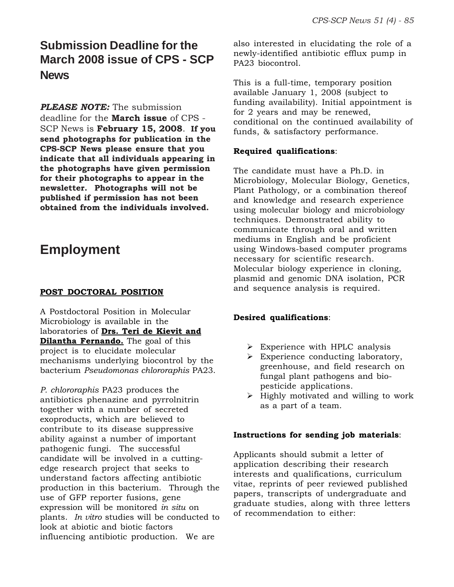# **Submission Deadline for the March 2008 issue of CPS - SCP News**

*PLEASE NOTE:* The submission

deadline for the **March issue** of CPS - SCP News is **February 15, 2008**. **If you send photographs for publication in the CPS-SCP News please ensure that you indicate that all individuals appearing in the photographs have given permission for their photographs to appear in the newsletter. Photographs will not be published if permission has not been obtained from the individuals involved.**

# **Employment**

# **POST DOCTORAL POSITION**

A Postdoctoral Position in Molecular Microbiology is available in the laboratories of **Drs. Teri de Kievit and Dilantha Fernando.** The goal of this project is to elucidate molecular mechanisms underlying biocontrol by the bacterium *Pseudomonas chlororaphis* PA23.

*P. chlororaphis* PA23 produces the antibiotics phenazine and pyrrolnitrin together with a number of secreted exoproducts, which are believed to contribute to its disease suppressive ability against a number of important pathogenic fungi. The successful candidate will be involved in a cuttingedge research project that seeks to understand factors affecting antibiotic production in this bacterium. Through the use of GFP reporter fusions, gene expression will be monitored *in situ* on plants. *In vitro* studies will be conducted to look at abiotic and biotic factors influencing antibiotic production. We are

also interested in elucidating the role of a newly-identified antibiotic efflux pump in PA23 biocontrol.

This is a full-time, temporary position available January 1, 2008 (subject to funding availability). Initial appointment is for 2 years and may be renewed, conditional on the continued availability of funds, & satisfactory performance.

# **Required qualifications**:

The candidate must have a Ph.D. in Microbiology, Molecular Biology, Genetics, Plant Pathology, or a combination thereof and knowledge and research experience using molecular biology and microbiology techniques. Demonstrated ability to communicate through oral and written mediums in English and be proficient using Windows-based computer programs necessary for scientific research. Molecular biology experience in cloning, plasmid and genomic DNA isolation, PCR and sequence analysis is required.

# **Desired qualifications**:

- $\triangleright$  Experience with HPLC analysis
- $\triangleright$  Experience conducting laboratory, greenhouse, and field research on fungal plant pathogens and biopesticide applications.
- $\triangleright$  Highly motivated and willing to work as a part of a team.

### **Instructions for sending job materials**:

Applicants should submit a letter of application describing their research interests and qualifications, curriculum vitae, reprints of peer reviewed published papers, transcripts of undergraduate and graduate studies, along with three letters of recommendation to either: